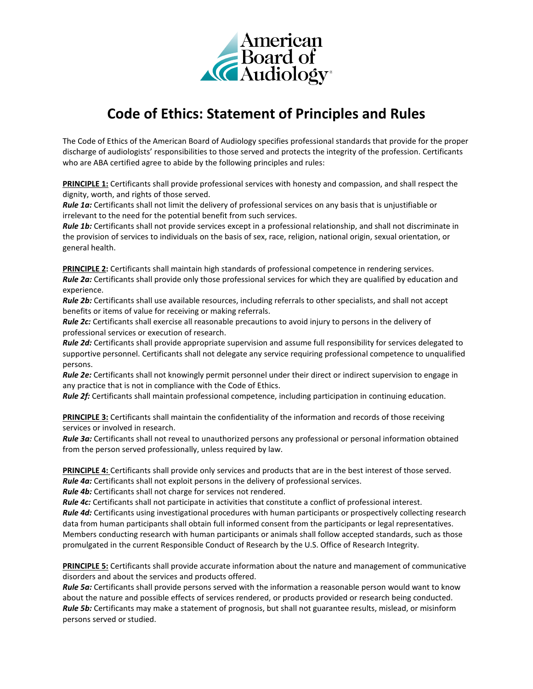

## **Code of Ethics: Statement of Principles and Rules**

The Code of Ethics of the American Board of Audiology specifies professional standards that provide for the proper discharge of audiologists' responsibilities to those served and protects the integrity of the profession. Certificants who are ABA certified agree to abide by the following principles and rules:

**PRINCIPLE 1:** Certificants shall provide professional services with honesty and compassion, and shall respect the dignity, worth, and rights of those served.

*Rule 1a:* Certificants shall not limit the delivery of professional services on any basis that is unjustifiable or irrelevant to the need for the potential benefit from such services.

*Rule 1b:* Certificants shall not provide services except in a professional relationship, and shall not discriminate in the provision of services to individuals on the basis of sex, race, religion, national origin, sexual orientation, or general health.

**PRINCIPLE 2:** Certificants shall maintain high standards of professional competence in rendering services. *Rule 2a:* Certificants shall provide only those professional services for which they are qualified by education and experience.

*Rule 2b:* Certificants shall use available resources, including referrals to other specialists, and shall not accept benefits or items of value for receiving or making referrals.

*Rule 2c:* Certificants shall exercise all reasonable precautions to avoid injury to persons in the delivery of professional services or execution of research.

*Rule 2d:* Certificants shall provide appropriate supervision and assume full responsibility for services delegated to supportive personnel. Certificants shall not delegate any service requiring professional competence to unqualified persons.

*Rule 2e:* Certificants shall not knowingly permit personnel under their direct or indirect supervision to engage in any practice that is not in compliance with the Code of Ethics.

*Rule 2f:* Certificants shall maintain professional competence, including participation in continuing education.

**PRINCIPLE 3:** Certificants shall maintain the confidentiality of the information and records of those receiving services or involved in research.

*Rule 3a:* Certificants shall not reveal to unauthorized persons any professional or personal information obtained from the person served professionally, unless required by law.

**PRINCIPLE 4:** Certificants shall provide only services and products that are in the best interest of those served.

*Rule 4a:* Certificants shall not exploit persons in the delivery of professional services.

*Rule 4b:* Certificants shall not charge for services not rendered.

*Rule 4c:* Certificants shall not participate in activities that constitute a conflict of professional interest.

*Rule 4d:* Certificants using investigational procedures with human participants or prospectively collecting research data from human participants shall obtain full informed consent from the participants or legal representatives. Members conducting research with human participants or animals shall follow accepted standards, such as those promulgated in the current Responsible Conduct of Research by the U.S. Office of Research Integrity.

**PRINCIPLE 5:** Certificants shall provide accurate information about the nature and management of communicative disorders and about the services and products offered.

*Rule 5a:* Certificants shall provide persons served with the information a reasonable person would want to know about the nature and possible effects of services rendered, or products provided or research being conducted. *Rule 5b:* Certificants may make a statement of prognosis, but shall not guarantee results, mislead, or misinform persons served or studied.